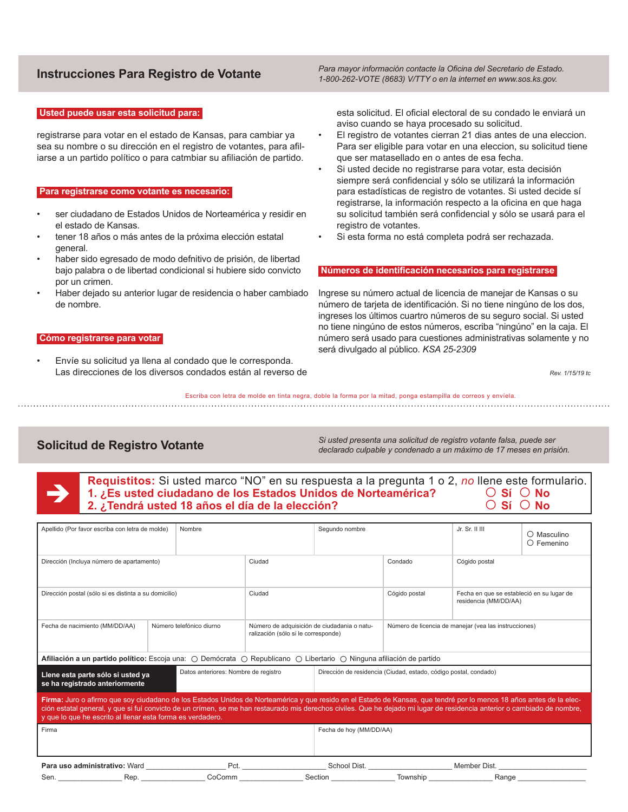### **Usted puede usar esta solicitud para:**

registrarse para votar en el estado de Kansas, para cambiar ya sea su nombre o su dirección en el registro de votantes, para afiliarse a un partido político o para catmbiar su afiliación de partido.

### **Para registrarse como votante es necesario:**

- ser ciudadano de Estados Unidos de Norteamérica y residir en el estado de Kansas.
- tener 18 años o más antes de la próxima elección estatal general.
- haber sido egresado de modo defnitivo de prisión, de libertad bajo palabra o de libertad condicional si hubiere sido convicto por un crimen.
- Haber dejado su anterior lugar de residencia o haber cambiado de nombre.

# **Cómo registrarse para votar**

• Envíe su solicitud ya llena al condado que le corresponda. Las direcciones de los diversos condados están al reverso de

**Instrucciones Para Registro de Votante** *Para mayor información contacte la Oficina del Secretario de Estado. 1-800-262-VOTE (8683) V/TTY o en la internet en www.sos.ks.gov.*

> esta solicitud. El oficial electoral de su condado le enviará un aviso cuando se haya procesado su solicitud.

- El registro de votantes cierran 21 dias antes de una eleccion. Para ser eligible para votar en una eleccion, su solicitud tiene que ser matasellado en o antes de esa fecha.
- Si usted decide no registrarse para votar, esta decisión siempre será confidencial y sólo se utilizará la información para estadísticas de registro de votantes. Si usted decide sí registrarse, la información respecto a la oficina en que haga su solicitud también será confidencial y sólo se usará para el registro de votantes.
- Si esta forma no está completa podrá ser rechazada.

# **Números de identificación necesarios para registrarse**

Ingrese su número actual de licencia de manejar de Kansas o su número de tarjeta de identificación. Si no tiene ningúno de los dos, ingreses los últimos cuartro números de su seguro social. Si usted no tiene ningúno de estos números, escriba "ningúno" en la caja. El número será usado para cuestiones administrativas solamente y no será divulgado al público. *KSA 25-2309*

*Rev. 1/15/19 tc*

Escriba con letra de molde en tinta negra, doble la forma por la mitad, ponga estampilla de correos y envíela. 

**Solicitud de Registro Votante** *Si usted presenta una solicitud de registro votante falsa, puede ser declarado culpable y condenado a un máximo de 17 meses en prisión.*

| 2. ¿Tendrá usted 18 años el día de la elección? |
|-------------------------------------------------|
|-------------------------------------------------|

| Apellido (Por favor escriba con letra de molde)                                                                                                                                                                                                                                                                                                                                                               |  | Nombre                   |                                                                                    | Segundo nombre                                                                                                                                                  |               | Jr. Sr. II III                                                     | O Masculino<br>O Femenino |
|---------------------------------------------------------------------------------------------------------------------------------------------------------------------------------------------------------------------------------------------------------------------------------------------------------------------------------------------------------------------------------------------------------------|--|--------------------------|------------------------------------------------------------------------------------|-----------------------------------------------------------------------------------------------------------------------------------------------------------------|---------------|--------------------------------------------------------------------|---------------------------|
| Dirección (Incluya número de apartamento)                                                                                                                                                                                                                                                                                                                                                                     |  | Ciudad                   |                                                                                    | Condado                                                                                                                                                         | Cógido postal |                                                                    |                           |
| Dirección postal (sólo si es distinta a su domicilio)                                                                                                                                                                                                                                                                                                                                                         |  |                          | Ciudad                                                                             |                                                                                                                                                                 | Cógido postal | Fecha en que se estableció en su lugar de<br>residencia (MM/DD/AA) |                           |
| Fecha de nacimiento (MM/DD/AA)                                                                                                                                                                                                                                                                                                                                                                                |  | Número telefónico diurno | Número de adquisición de ciudadania o natu-<br>ralización (sólo si le corresponde) | <b>Afiliación a un partido político:</b> Escoja una: $\bigcirc$ Demócrata $\bigcirc$ Republicano $\bigcirc$ Libertario $\bigcirc$ Ninguna afiliación de partido |               | Número de licencia de manejar (vea las instrucciones)              |                           |
|                                                                                                                                                                                                                                                                                                                                                                                                               |  |                          |                                                                                    |                                                                                                                                                                 |               |                                                                    |                           |
| Datos anteriores: Nombre de registro<br>Llene esta parte sólo si usted ya<br>se ha registrado anteriormente                                                                                                                                                                                                                                                                                                   |  |                          | Dirección de residencia (Ciudad, estado, código postal, condado)                   |                                                                                                                                                                 |               |                                                                    |                           |
| Firma: Juro o afirmo que soy ciudadano de los Estados Unidos de Norteamérica y que resido en el Estado de Kansas, que tendré por lo menos 18 años antes de la elec-<br>ción estatal general, y que si fuí convicto de un crímen, se me han restaurado mis derechos civiles. Que he dejado mi lugar de residencia anterior o cambiado de nombre,<br>y que lo que he escrito al llenar esta forma es verdadero. |  |                          |                                                                                    |                                                                                                                                                                 |               |                                                                    |                           |
| Firma                                                                                                                                                                                                                                                                                                                                                                                                         |  |                          | Fecha de hoy (MM/DD/AA)                                                            |                                                                                                                                                                 |               |                                                                    |                           |
| Para uso administrativo: Ward                                                                                                                                                                                                                                                                                                                                                                                 |  | Pct.                     |                                                                                    | School Dist.                                                                                                                                                    |               | Member Dist.                                                       |                           |
| Sen.<br>Rep.                                                                                                                                                                                                                                                                                                                                                                                                  |  | CoComm                   |                                                                                    | Section                                                                                                                                                         | Township      | Range                                                              |                           |